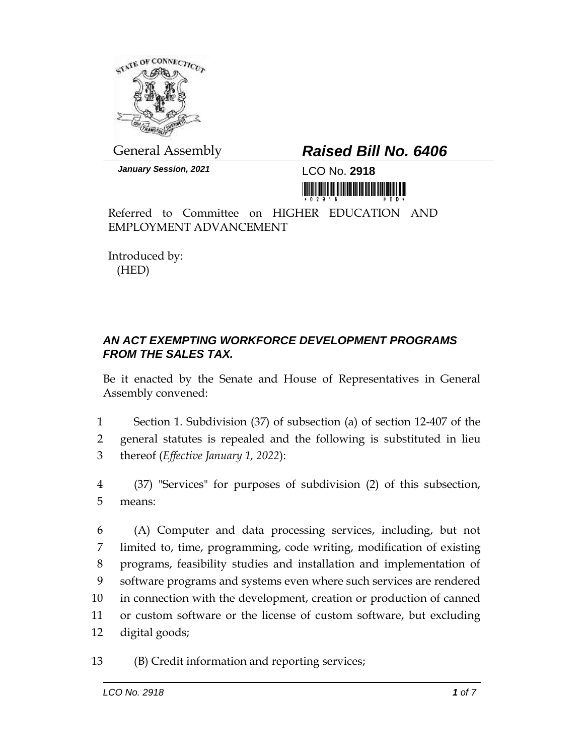

General Assembly *Raised Bill No. 6406*

*January Session, 2021* LCO No. **2918**

Referred to Committee on HIGHER EDUCATION AND EMPLOYMENT ADVANCEMENT

Introduced by: (HED)

## *AN ACT EXEMPTING WORKFORCE DEVELOPMENT PROGRAMS FROM THE SALES TAX.*

Be it enacted by the Senate and House of Representatives in General Assembly convened:

1 Section 1. Subdivision (37) of subsection (a) of section 12-407 of the 2 general statutes is repealed and the following is substituted in lieu 3 thereof (*Effective January 1, 2022*):

4 (37) "Services" for purposes of subdivision (2) of this subsection, 5 means:

 (A) Computer and data processing services, including, but not limited to, time, programming, code writing, modification of existing programs, feasibility studies and installation and implementation of software programs and systems even where such services are rendered in connection with the development, creation or production of canned or custom software or the license of custom software, but excluding digital goods;

13 (B) Credit information and reporting services;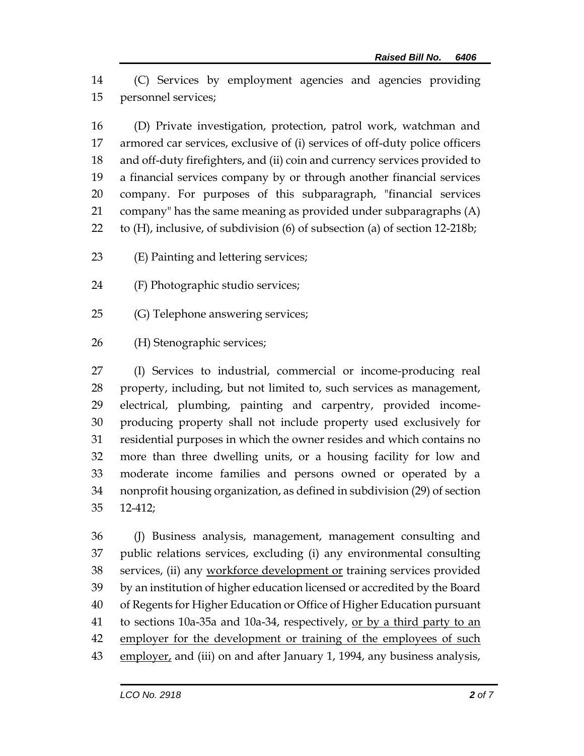(C) Services by employment agencies and agencies providing personnel services;

 (D) Private investigation, protection, patrol work, watchman and armored car services, exclusive of (i) services of off-duty police officers and off-duty firefighters, and (ii) coin and currency services provided to a financial services company by or through another financial services company. For purposes of this subparagraph, "financial services company" has the same meaning as provided under subparagraphs (A) to (H), inclusive, of subdivision (6) of subsection (a) of section 12-218b;

- (E) Painting and lettering services;
- (F) Photographic studio services;
- (G) Telephone answering services;
- (H) Stenographic services;

 (I) Services to industrial, commercial or income-producing real property, including, but not limited to, such services as management, electrical, plumbing, painting and carpentry, provided income- producing property shall not include property used exclusively for residential purposes in which the owner resides and which contains no more than three dwelling units, or a housing facility for low and moderate income families and persons owned or operated by a nonprofit housing organization, as defined in subdivision (29) of section 12-412;

 (J) Business analysis, management, management consulting and public relations services, excluding (i) any environmental consulting 38 services, (ii) any workforce development or training services provided by an institution of higher education licensed or accredited by the Board of Regents for Higher Education or Office of Higher Education pursuant 41 to sections 10a-35a and 10a-34, respectively, or by a third party to an 42 employer for the development or training of the employees of such 43 employer, and (iii) on and after January 1, 1994, any business analysis,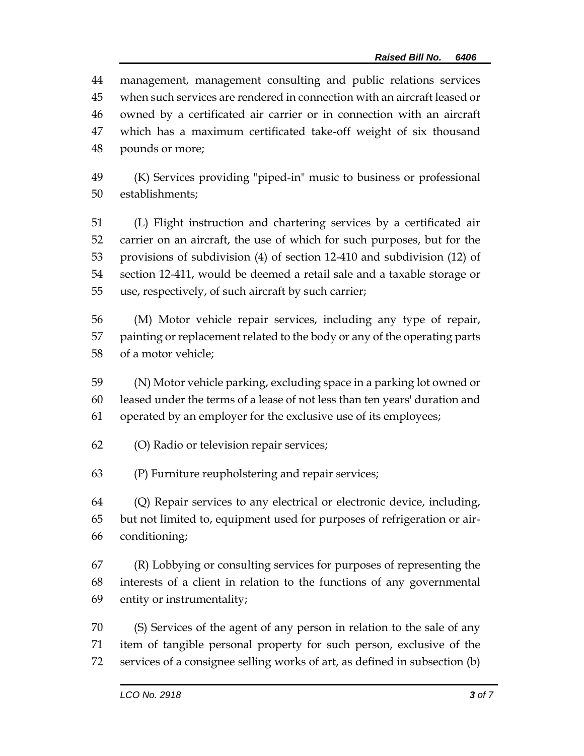management, management consulting and public relations services when such services are rendered in connection with an aircraft leased or owned by a certificated air carrier or in connection with an aircraft which has a maximum certificated take-off weight of six thousand pounds or more;

 (K) Services providing "piped-in" music to business or professional establishments;

 (L) Flight instruction and chartering services by a certificated air carrier on an aircraft, the use of which for such purposes, but for the provisions of subdivision (4) of section 12-410 and subdivision (12) of section 12-411, would be deemed a retail sale and a taxable storage or use, respectively, of such aircraft by such carrier;

 (M) Motor vehicle repair services, including any type of repair, painting or replacement related to the body or any of the operating parts of a motor vehicle;

 (N) Motor vehicle parking, excluding space in a parking lot owned or leased under the terms of a lease of not less than ten years' duration and operated by an employer for the exclusive use of its employees;

(O) Radio or television repair services;

(P) Furniture reupholstering and repair services;

 (Q) Repair services to any electrical or electronic device, including, but not limited to, equipment used for purposes of refrigeration or air-conditioning;

 (R) Lobbying or consulting services for purposes of representing the interests of a client in relation to the functions of any governmental entity or instrumentality;

 (S) Services of the agent of any person in relation to the sale of any item of tangible personal property for such person, exclusive of the services of a consignee selling works of art, as defined in subsection (b)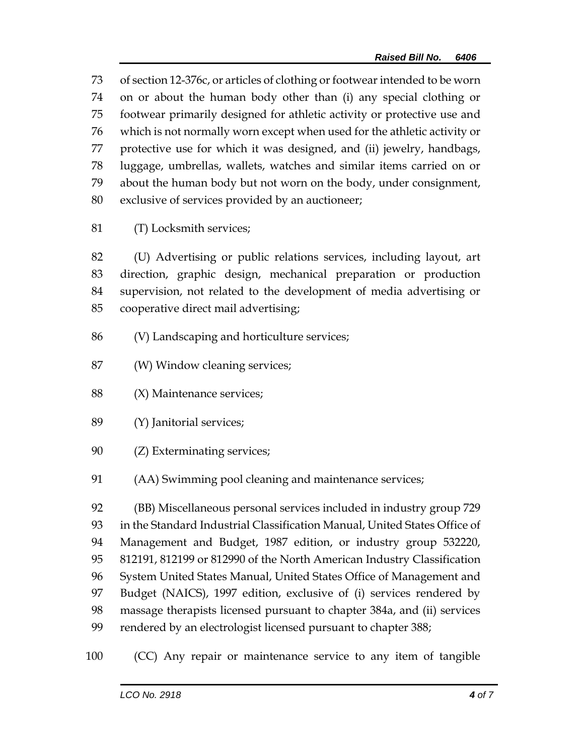of section 12-376c, or articles of clothing or footwear intended to be worn on or about the human body other than (i) any special clothing or footwear primarily designed for athletic activity or protective use and which is not normally worn except when used for the athletic activity or protective use for which it was designed, and (ii) jewelry, handbags, luggage, umbrellas, wallets, watches and similar items carried on or about the human body but not worn on the body, under consignment, exclusive of services provided by an auctioneer;

(T) Locksmith services;

 (U) Advertising or public relations services, including layout, art direction, graphic design, mechanical preparation or production supervision, not related to the development of media advertising or cooperative direct mail advertising;

- (V) Landscaping and horticulture services;
- (W) Window cleaning services;
- 88 (X) Maintenance services;
- (Y) Janitorial services;
- (Z) Exterminating services;
- (AA) Swimming pool cleaning and maintenance services;

 (BB) Miscellaneous personal services included in industry group 729 in the Standard Industrial Classification Manual, United States Office of Management and Budget, 1987 edition, or industry group 532220, 812191, 812199 or 812990 of the North American Industry Classification System United States Manual, United States Office of Management and Budget (NAICS), 1997 edition, exclusive of (i) services rendered by massage therapists licensed pursuant to chapter 384a, and (ii) services rendered by an electrologist licensed pursuant to chapter 388;

(CC) Any repair or maintenance service to any item of tangible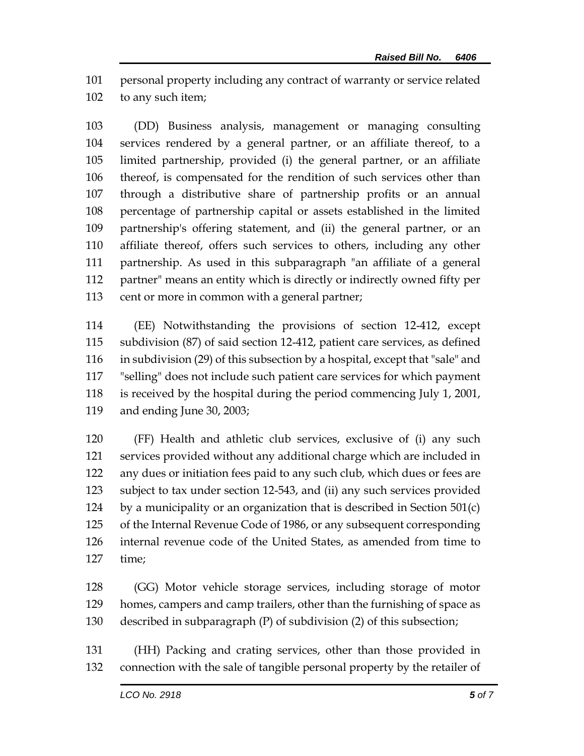personal property including any contract of warranty or service related to any such item;

 (DD) Business analysis, management or managing consulting services rendered by a general partner, or an affiliate thereof, to a limited partnership, provided (i) the general partner, or an affiliate thereof, is compensated for the rendition of such services other than through a distributive share of partnership profits or an annual percentage of partnership capital or assets established in the limited partnership's offering statement, and (ii) the general partner, or an affiliate thereof, offers such services to others, including any other partnership. As used in this subparagraph "an affiliate of a general partner" means an entity which is directly or indirectly owned fifty per cent or more in common with a general partner;

 (EE) Notwithstanding the provisions of section 12-412, except subdivision (87) of said section 12-412, patient care services, as defined in subdivision (29) of this subsection by a hospital, except that "sale" and "selling" does not include such patient care services for which payment is received by the hospital during the period commencing July 1, 2001, and ending June 30, 2003;

 (FF) Health and athletic club services, exclusive of (i) any such services provided without any additional charge which are included in any dues or initiation fees paid to any such club, which dues or fees are subject to tax under section 12-543, and (ii) any such services provided 124 by a municipality or an organization that is described in Section  $501(c)$  of the Internal Revenue Code of 1986, or any subsequent corresponding internal revenue code of the United States, as amended from time to time;

 (GG) Motor vehicle storage services, including storage of motor homes, campers and camp trailers, other than the furnishing of space as described in subparagraph (P) of subdivision (2) of this subsection;

 (HH) Packing and crating services, other than those provided in connection with the sale of tangible personal property by the retailer of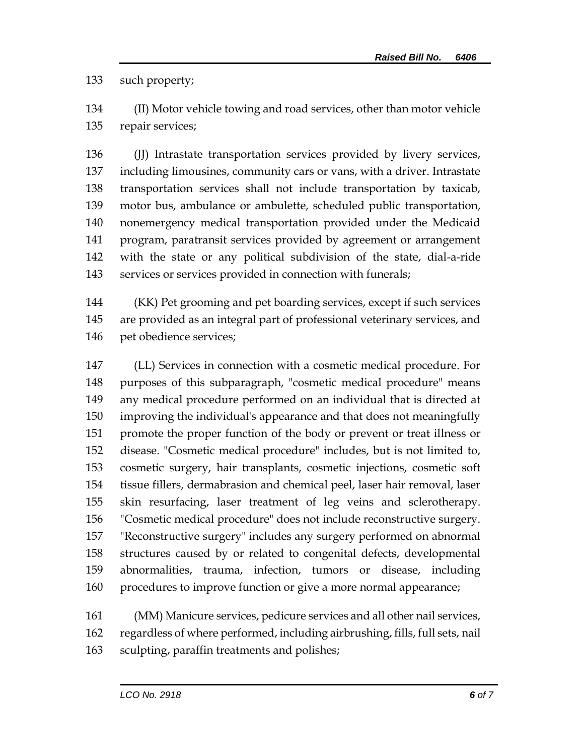such property;

 (II) Motor vehicle towing and road services, other than motor vehicle repair services;

136 (J) Intrastate transportation services provided by livery services, including limousines, community cars or vans, with a driver. Intrastate transportation services shall not include transportation by taxicab, motor bus, ambulance or ambulette, scheduled public transportation, nonemergency medical transportation provided under the Medicaid program, paratransit services provided by agreement or arrangement with the state or any political subdivision of the state, dial-a-ride services or services provided in connection with funerals;

 (KK) Pet grooming and pet boarding services, except if such services are provided as an integral part of professional veterinary services, and pet obedience services;

 (LL) Services in connection with a cosmetic medical procedure. For purposes of this subparagraph, "cosmetic medical procedure" means any medical procedure performed on an individual that is directed at improving the individual's appearance and that does not meaningfully promote the proper function of the body or prevent or treat illness or disease. "Cosmetic medical procedure" includes, but is not limited to, cosmetic surgery, hair transplants, cosmetic injections, cosmetic soft tissue fillers, dermabrasion and chemical peel, laser hair removal, laser skin resurfacing, laser treatment of leg veins and sclerotherapy. "Cosmetic medical procedure" does not include reconstructive surgery. "Reconstructive surgery" includes any surgery performed on abnormal structures caused by or related to congenital defects, developmental abnormalities, trauma, infection, tumors or disease, including 160 procedures to improve function or give a more normal appearance;

 (MM) Manicure services, pedicure services and all other nail services, regardless of where performed, including airbrushing, fills, full sets, nail sculpting, paraffin treatments and polishes;